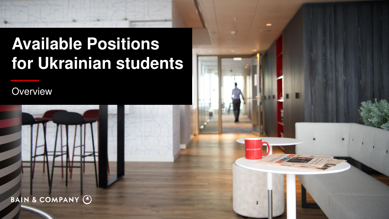# **Available Positions for Ukrainian students**

**Overview** 



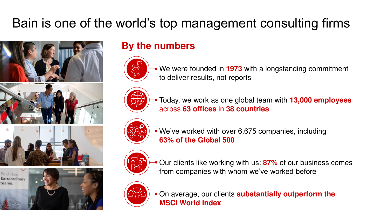## Bain is one of the world's top management consulting firms



## **By the numbers**



We were founded in **1973** with a longstanding commitment to deliver results, not reports



Today, we work as one global team with **13,000 employees**  across **63 offices** in **38 countries**



We've worked with over 6,675 companies, including **63% of the Global 500**



Our clients like working with us: **87%** of our business comes from companies with whom we've worked before



On average, our clients **substantially outperform the MSCI World Index**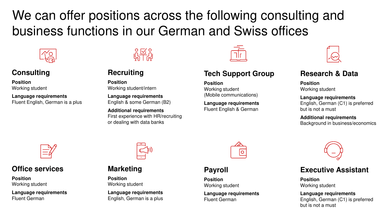We can offer positions across the following consulting and business functions in our German and Swiss offices



## **Consulting**

**Position** Working student

**Language requirements** Fluent English, German is a plus



## **Recruiting**

**Position** Working student/intern

**Language requirements** English & some German (B2)

**Additional requirements** First experience with HR/recruiting or dealing with data banks

### **Tech Support Group**

**Position** Working student (Mobile communications)

**Language requirements** Fluent English & German



### **Research & Data**

**Position** Working student

**Language requirements** English, German (C1) is preferred but is not a must

**Additional requirements** Background in business/economics



## **Office services**

**Position** Working student

**Language requirements** Fluent German



### **Marketing**

**Position** Working student

**Language requirements** English, German is a plus



## **Payroll**

**Position** Working student

**Language requirements** Fluent German



### **Executive Assistant**

**Position** Working student

**Language requirements** English, German (C1) is preferred but is not a must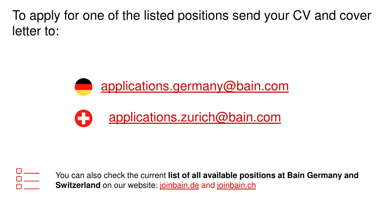To apply for one of the listed positions send your CV and cover letter to:





 $\overline{\overline{\mathsf{D}}\mathsf{I}}$ 

You can also check the current **list of all available positions at Bain Germany and Switzerland** on our website: [joinbain.de](https://joinbain.de/) and [joinbain.ch](https://joinbain.ch/)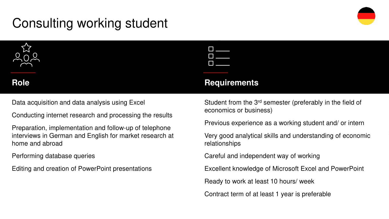## Consulting working student



Data acquisition and data analysis using Excel

Conducting internet research and processing the results

Preparation, implementation and follow-up of telephone interviews in German and English for market research at home and abroad

### Performing database queries

Editing and creation of PowerPoint presentations

## **Role** Requirements

Student from the 3rd semester (preferably in the field of economics or business)

Previous experience as a working student and/ or intern

Very good analytical skills and understanding of economic relationships

Careful and independent way of working

Excellent knowledge of Microsoft Excel and PowerPoint

Ready to work at least 10 hours/ week

Contract term of at least 1 year is preferable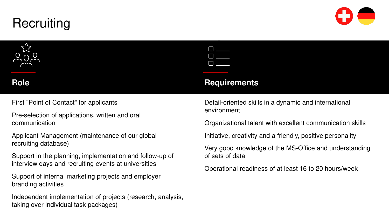## **Recruiting**



First "Point of Contact" for applicants

Pre-selection of applications, written and oral communication

Applicant Management (maintenance of our global recruiting database)

Support in the planning, implementation and follow-up of interview days and recruiting events at universities

Support of internal marketing projects and employer branding activities

Independent implementation of projects (research, analysis, taking over individual task packages)

### **Role** Requirements

Detail-oriented skills in a dynamic and international environment

Organizational talent with excellent communication skills

Initiative, creativity and a friendly, positive personality

Very good knowledge of the MS-Office and understanding of sets of data

Operational readiness of at least 16 to 20 hours/week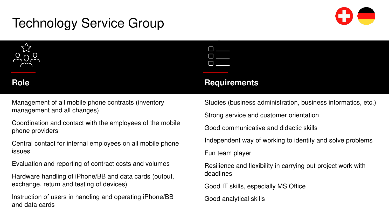## Technology Service Group



Management of all mobile phone contracts (inventory management and all changes)

Coordination and contact with the employees of the mobile phone providers

Central contact for internal employees on all mobile phone issues

Evaluation and reporting of contract costs and volumes

Hardware handling of iPhone/BB and data cards (output, exchange, return and testing of devices)

Instruction of users in handling and operating iPhone/BB and data cards

| _       |  |
|---------|--|
|         |  |
|         |  |
|         |  |
|         |  |
|         |  |
| E۱<br>I |  |
|         |  |
|         |  |
|         |  |
|         |  |
|         |  |
|         |  |
|         |  |
|         |  |
|         |  |
|         |  |
|         |  |
|         |  |
|         |  |
|         |  |
|         |  |
|         |  |

## **Role** Requirements

Studies (business administration, business informatics, etc.)

Strong service and customer orientation

Good communicative and didactic skills

Independent way of working to identify and solve problems

Fun team player

Resilience and flexibility in carrying out project work with deadlines

Good IT skills, especially MS Office

Good analytical skills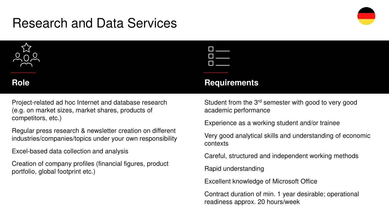## Research and Data Services



Project-related ad hoc Internet and database research (e.g. on market sizes, market shares, products of competitors, etc.)

Regular press research & newsletter creation on different industries/companies/topics under your own responsibility

Excel-based data collection and analysis

Creation of company profiles (financial figures, product portfolio, global footprint etc.)

| <b>Role</b> |  | <b>Requirements</b> |
|-------------|--|---------------------|
|             |  |                     |

Student from the 3rd semester with good to very good academic performance

Experience as a working student and/or trainee

Very good analytical skills and understanding of economic contexts

Careful, structured and independent working methods

Rapid understanding

Excellent knowledge of Microsoft Office

Contract duration of min. 1 year desirable; operational readiness approx. 20 hours/week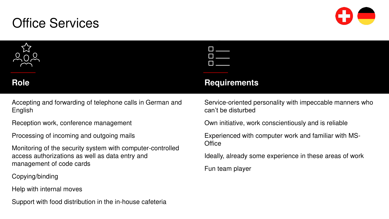## Office Services





Accepting and forwarding of telephone calls in German and English

Reception work, conference management

Processing of incoming and outgoing mails

Monitoring of the security system with computer-controlled access authorizations as well as data entry and management of code cards

Copying/binding

Help with internal moves

Support with food distribution in the in-house cafeteria

### **Role** Requirements

Service-oriented personality with impeccable manners who can't be disturbed

Own initiative, work conscientiously and is reliable

Experienced with computer work and familiar with MS-**Office** 

Ideally, already some experience in these areas of work

Fun team player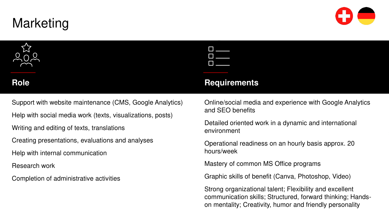## Marketing

Support with website maintenance (CMS, Google Analytics)

Help with social media work (texts, visualizations, posts)

Writing and editing of texts, translations

Creating presentations, evaluations and analyses

Help with internal communication

Research work

Completion of administrative activities

| I      |  |
|--------|--|
|        |  |
| I      |  |
|        |  |
| I<br>ш |  |
|        |  |

## **Role** Requirements

Online/social media and experience with Google Analytics and SEO benefits

Detailed oriented work in a dynamic and international environment

Operational readiness on an hourly basis approx. 20 hours/week

Mastery of common MS Office programs

Graphic skills of benefit (Canva, Photoshop, Video)

Strong organizational talent; Flexibility and excellent communication skills; Structured, forward thinking; Handson mentality; Creativity, humor and friendly personality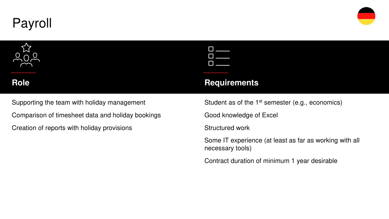



Supporting the team with holiday management

Comparison of timesheet data and holiday bookings

Creation of reports with holiday provisions

## Role Requirements

Student as of the 1<sup>st</sup> semester (e.g., economics)

Good knowledge of Excel

Structured work

Some IT experience (at least as far as working with all necessary tools)

Contract duration of minimum 1 year desirable